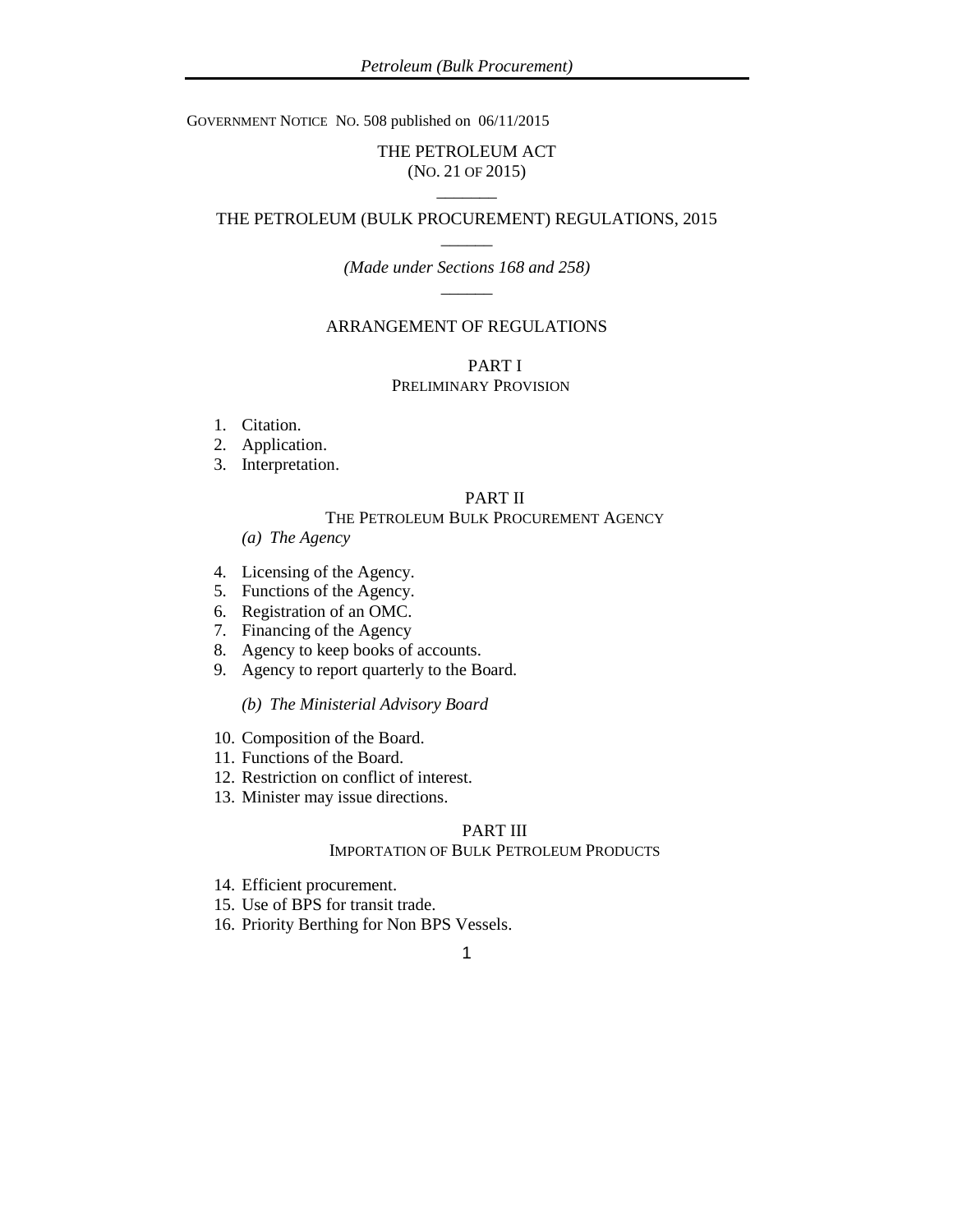GOVERNMENT NOTICE NO. 508 published on 06/11/2015

# THE PETROLEUM ACT (NO. 21 OF 2015)  $\overline{\phantom{a}}$

# THE PETROLEUM (BULK PROCUREMENT) REGULATIONS, 2015  $\overline{\phantom{a}}$

# *(Made under Sections 168 and 258)*  $\overline{\phantom{a}}$

### ARRANGEMENT OF REGULATIONS

PART I PRELIMINARY PROVISION

- 1. Citation.
- 2. Application.
- 3. Interpretation.

# PART II

### THE PETROLEUM BULK PROCUREMENT AGENCY

- *(a) The Agency*
- 4. Licensing of the Agency.
- 5. Functions of the Agency.
- 6. Registration of an OMC.
- 7. Financing of the Agency
- 8. Agency to keep books of accounts.
- 9. Agency to report quarterly to the Board.

*(b) The Ministerial Advisory Board*

- 10. Composition of the Board.
- 11. Functions of the Board.
- 12. Restriction on conflict of interest.
- 13. Minister may issue directions.

# PART III

### IMPORTATION OF BULK PETROLEUM PRODUCTS

- 14. Efficient procurement.
- 15. Use of BPS for transit trade.
- 16. Priority Berthing for Non BPS Vessels.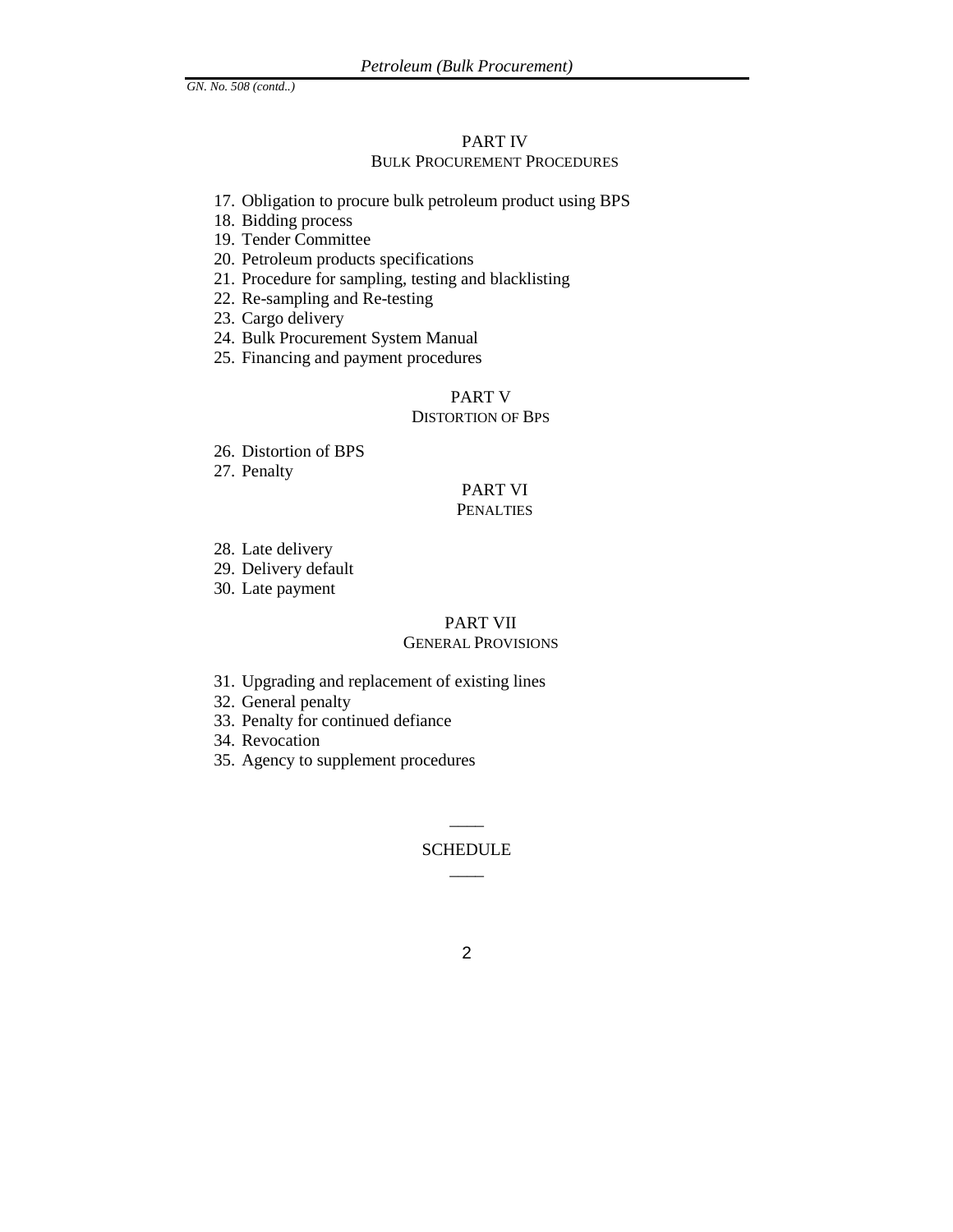# PART IV BULK PROCUREMENT PROCEDURES

- 17. Obligation to procure bulk petroleum product using BPS
- 18. Bidding process
- 19. Tender Committee
- 20. Petroleum products specifications
- 21. Procedure for sampling, testing and blacklisting
- 22. Re-sampling and Re-testing
- 23. Cargo delivery
- 24. Bulk Procurement System Manual
- 25. Financing and payment procedures

# PART V

# DISTORTION OF BPS

- 26. Distortion of BPS
- 27. Penalty

### PART VI **PENALTIES**

- 28. Late delivery
- 29. Delivery default
- 30. Late payment

# PART VII

# GENERAL PROVISIONS

- 31. Upgrading and replacement of existing lines
- 32. General penalty
- 33. Penalty for continued defiance
- 34. Revocation
- 35. Agency to supplement procedures

# $\overline{\phantom{a}}$ **SCHEDULE**  $\overline{\phantom{a}}$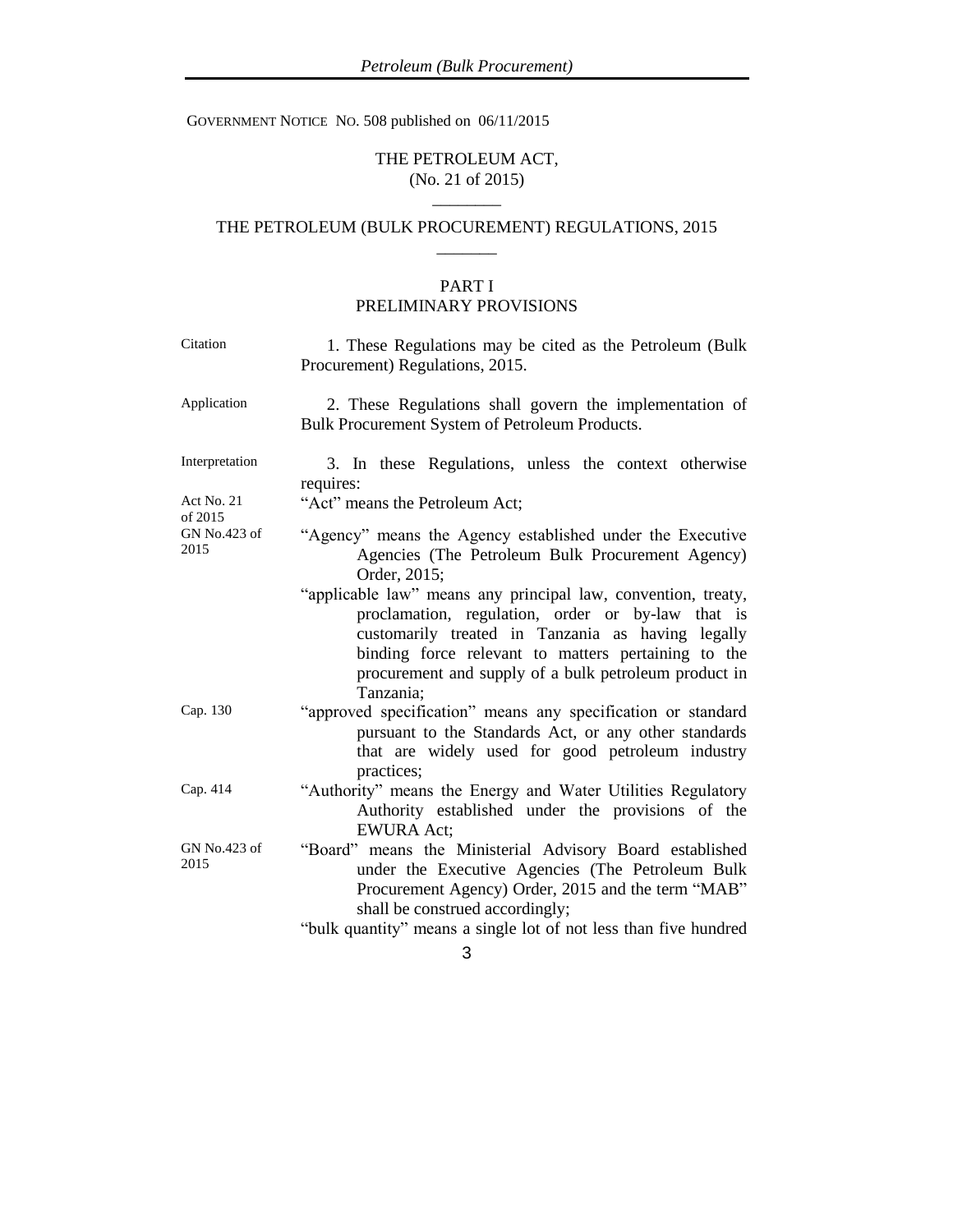GOVERNMENT NOTICE NO. 508 published on 06/11/2015

# THE PETROLEUM ACT, (No. 21 of 2015) \_\_\_\_\_\_\_\_

# THE PETROLEUM (BULK PROCUREMENT) REGULATIONS, 2015  $\overline{\phantom{a}}$

# PART I PRELIMINARY PROVISIONS

| Application<br>2. These Regulations shall govern the implementation of<br>Bulk Procurement System of Petroleum Products.<br>Interpretation<br>3. In these Regulations, unless the context otherwise<br>requires:<br>"Act" means the Petroleum Act;<br>Act No. 21<br>of 2015<br>GN No.423 of<br>"Agency" means the Agency established under the Executive<br>2015<br>Agencies (The Petroleum Bulk Procurement Agency)<br>Order, 2015;<br>"applicable law" means any principal law, convention, treaty,<br>proclamation, regulation, order or by-law that is<br>customarily treated in Tanzania as having legally<br>binding force relevant to matters pertaining to the<br>procurement and supply of a bulk petroleum product in<br>Tanzania;<br>Cap. 130<br>"approved specification" means any specification or standard<br>pursuant to the Standards Act, or any other standards<br>that are widely used for good petroleum industry<br>practices;<br>Cap. 414<br>"Authority" means the Energy and Water Utilities Regulatory<br>Authority established under the provisions of the<br><b>EWURA Act:</b><br>GN No.423 of<br>"Board" means the Ministerial Advisory Board established<br>2015<br>under the Executive Agencies (The Petroleum Bulk<br>Procurement Agency) Order, 2015 and the term "MAB"<br>shall be construed accordingly;<br>"bulk quantity" means a single lot of not less than five hundred | Citation | 1. These Regulations may be cited as the Petroleum (Bulk<br>Procurement) Regulations, 2015. |
|---------------------------------------------------------------------------------------------------------------------------------------------------------------------------------------------------------------------------------------------------------------------------------------------------------------------------------------------------------------------------------------------------------------------------------------------------------------------------------------------------------------------------------------------------------------------------------------------------------------------------------------------------------------------------------------------------------------------------------------------------------------------------------------------------------------------------------------------------------------------------------------------------------------------------------------------------------------------------------------------------------------------------------------------------------------------------------------------------------------------------------------------------------------------------------------------------------------------------------------------------------------------------------------------------------------------------------------------------------------------------------------------------------------|----------|---------------------------------------------------------------------------------------------|
|                                                                                                                                                                                                                                                                                                                                                                                                                                                                                                                                                                                                                                                                                                                                                                                                                                                                                                                                                                                                                                                                                                                                                                                                                                                                                                                                                                                                               |          |                                                                                             |
|                                                                                                                                                                                                                                                                                                                                                                                                                                                                                                                                                                                                                                                                                                                                                                                                                                                                                                                                                                                                                                                                                                                                                                                                                                                                                                                                                                                                               |          |                                                                                             |
|                                                                                                                                                                                                                                                                                                                                                                                                                                                                                                                                                                                                                                                                                                                                                                                                                                                                                                                                                                                                                                                                                                                                                                                                                                                                                                                                                                                                               |          |                                                                                             |
|                                                                                                                                                                                                                                                                                                                                                                                                                                                                                                                                                                                                                                                                                                                                                                                                                                                                                                                                                                                                                                                                                                                                                                                                                                                                                                                                                                                                               |          |                                                                                             |
|                                                                                                                                                                                                                                                                                                                                                                                                                                                                                                                                                                                                                                                                                                                                                                                                                                                                                                                                                                                                                                                                                                                                                                                                                                                                                                                                                                                                               |          |                                                                                             |
|                                                                                                                                                                                                                                                                                                                                                                                                                                                                                                                                                                                                                                                                                                                                                                                                                                                                                                                                                                                                                                                                                                                                                                                                                                                                                                                                                                                                               |          |                                                                                             |
|                                                                                                                                                                                                                                                                                                                                                                                                                                                                                                                                                                                                                                                                                                                                                                                                                                                                                                                                                                                                                                                                                                                                                                                                                                                                                                                                                                                                               |          |                                                                                             |
|                                                                                                                                                                                                                                                                                                                                                                                                                                                                                                                                                                                                                                                                                                                                                                                                                                                                                                                                                                                                                                                                                                                                                                                                                                                                                                                                                                                                               |          | 3                                                                                           |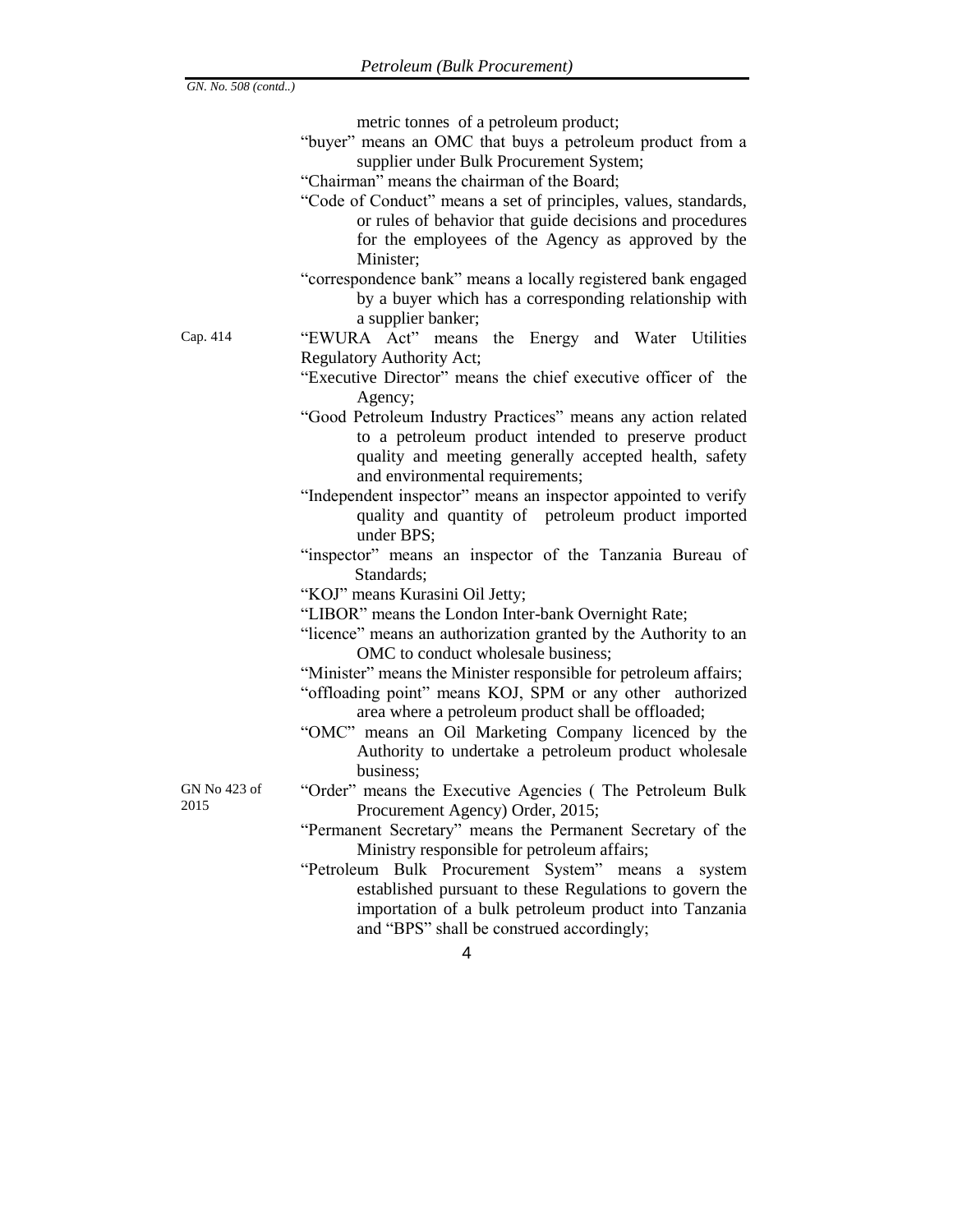metric tonnes of a petroleum product;

- "buyer" means an OMC that buys a petroleum product from a supplier under Bulk Procurement System;
- "Chairman" means the chairman of the Board;
- "Code of Conduct" means a set of principles, values, standards, or rules of behavior that guide decisions and procedures for the employees of the Agency as approved by the Minister;
- "correspondence bank" means a locally registered bank engaged by a buyer which has a corresponding relationship with a supplier banker;

Cap. 414 "EWURA Act" means the Energy and Water Utilities Regulatory Authority Act;

- "Executive Director" means the chief executive officer of the Agency;
- "Good Petroleum Industry Practices" means any action related to a petroleum product intended to preserve product quality and meeting generally accepted health, safety and environmental requirements;
- "Independent inspector" means an inspector appointed to verify quality and quantity of petroleum product imported under BPS;
- "inspector" means an inspector of the Tanzania Bureau of Standards;

"KOJ" means Kurasini Oil Jetty;

- "LIBOR" means the London Inter-bank Overnight Rate;
- "licence" means an authorization granted by the Authority to an OMC to conduct wholesale business;
- "Minister" means the Minister responsible for petroleum affairs;
- "offloading point" means KOJ, SPM or any other authorized area where a petroleum product shall be offloaded;
- "OMC" means an Oil Marketing Company licenced by the Authority to undertake a petroleum product wholesale business;

GN No 423 of 2015

- "Order" means the Executive Agencies ( The Petroleum Bulk Procurement Agency) Order, 2015;
- "Permanent Secretary" means the Permanent Secretary of the Ministry responsible for petroleum affairs;
- "Petroleum Bulk Procurement System" means a system established pursuant to these Regulations to govern the importation of a bulk petroleum product into Tanzania and "BPS" shall be construed accordingly;
	- 4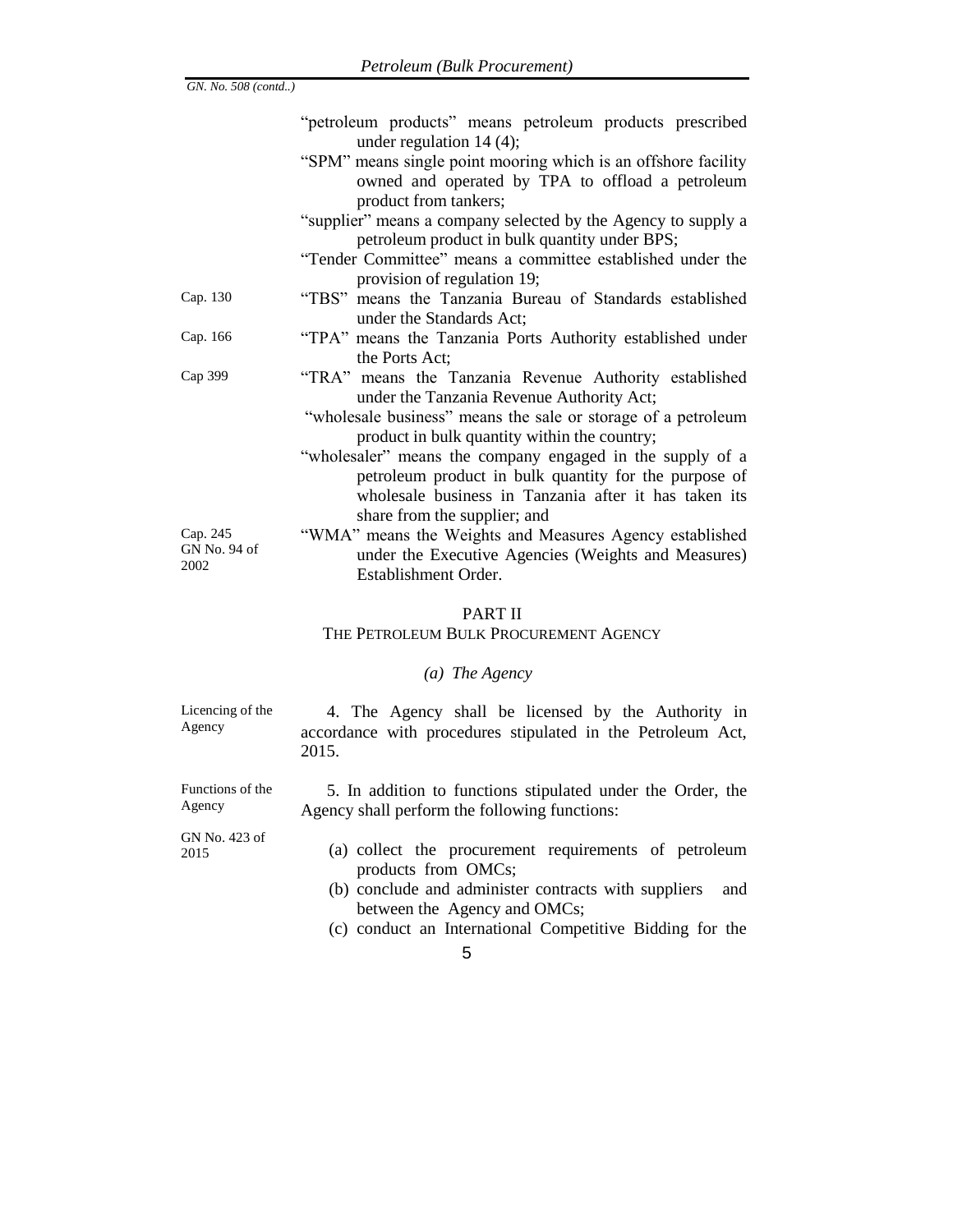|                                  | "petroleum products" means petroleum products prescribed                                                                                                                                                                                                    |  |  |  |  |
|----------------------------------|-------------------------------------------------------------------------------------------------------------------------------------------------------------------------------------------------------------------------------------------------------------|--|--|--|--|
|                                  | under regulation $14(4)$ ;<br>"SPM" means single point mooring which is an offshore facility<br>owned and operated by TPA to offload a petroleum<br>product from tankers;                                                                                   |  |  |  |  |
|                                  | "supplier" means a company selected by the Agency to supply a<br>petroleum product in bulk quantity under BPS;                                                                                                                                              |  |  |  |  |
|                                  | "Tender Committee" means a committee established under the<br>provision of regulation 19;                                                                                                                                                                   |  |  |  |  |
| Cap. 130                         | "TBS" means the Tanzania Bureau of Standards established<br>under the Standards Act;                                                                                                                                                                        |  |  |  |  |
| Cap. 166                         | "TPA" means the Tanzania Ports Authority established under<br>the Ports Act;                                                                                                                                                                                |  |  |  |  |
| Cap 399                          | "TRA" means the Tanzania Revenue Authority established<br>under the Tanzania Revenue Authority Act;                                                                                                                                                         |  |  |  |  |
|                                  | "wholesale business" means the sale or storage of a petroleum                                                                                                                                                                                               |  |  |  |  |
|                                  | product in bulk quantity within the country;<br>"wholesaler" means the company engaged in the supply of a<br>petroleum product in bulk quantity for the purpose of<br>wholesale business in Tanzania after it has taken its<br>share from the supplier; and |  |  |  |  |
| Cap. 245<br>GN No. 94 of<br>2002 | "WMA" means the Weights and Measures Agency established<br>under the Executive Agencies (Weights and Measures)<br>Establishment Order.                                                                                                                      |  |  |  |  |
|                                  |                                                                                                                                                                                                                                                             |  |  |  |  |
|                                  | PART II<br>THE PETROLEUM BULK PROCUREMENT AGENCY                                                                                                                                                                                                            |  |  |  |  |
| (a) The Agency                   |                                                                                                                                                                                                                                                             |  |  |  |  |
| Licencing of the<br>Agency       | 4. The Agency shall be licensed by the Authority in<br>accordance with procedures stipulated in the Petroleum Act,<br>2015.                                                                                                                                 |  |  |  |  |
| Functions of the<br>Agency       | 5. In addition to functions stipulated under the Order, the<br>Agency shall perform the following functions:                                                                                                                                                |  |  |  |  |
| GN No. 423 of                    | $-$ 4.4 $-$                                                                                                                                                                                                                                                 |  |  |  |  |

2015

*GN. No. 508 (contd..)*

- (a) collect the procurement requirements of petroleum products from OMCs;
- (b) conclude and administer contracts with suppliers and between the Agency and OMCs;
- (c) conduct an International Competitive Bidding for the
	- 5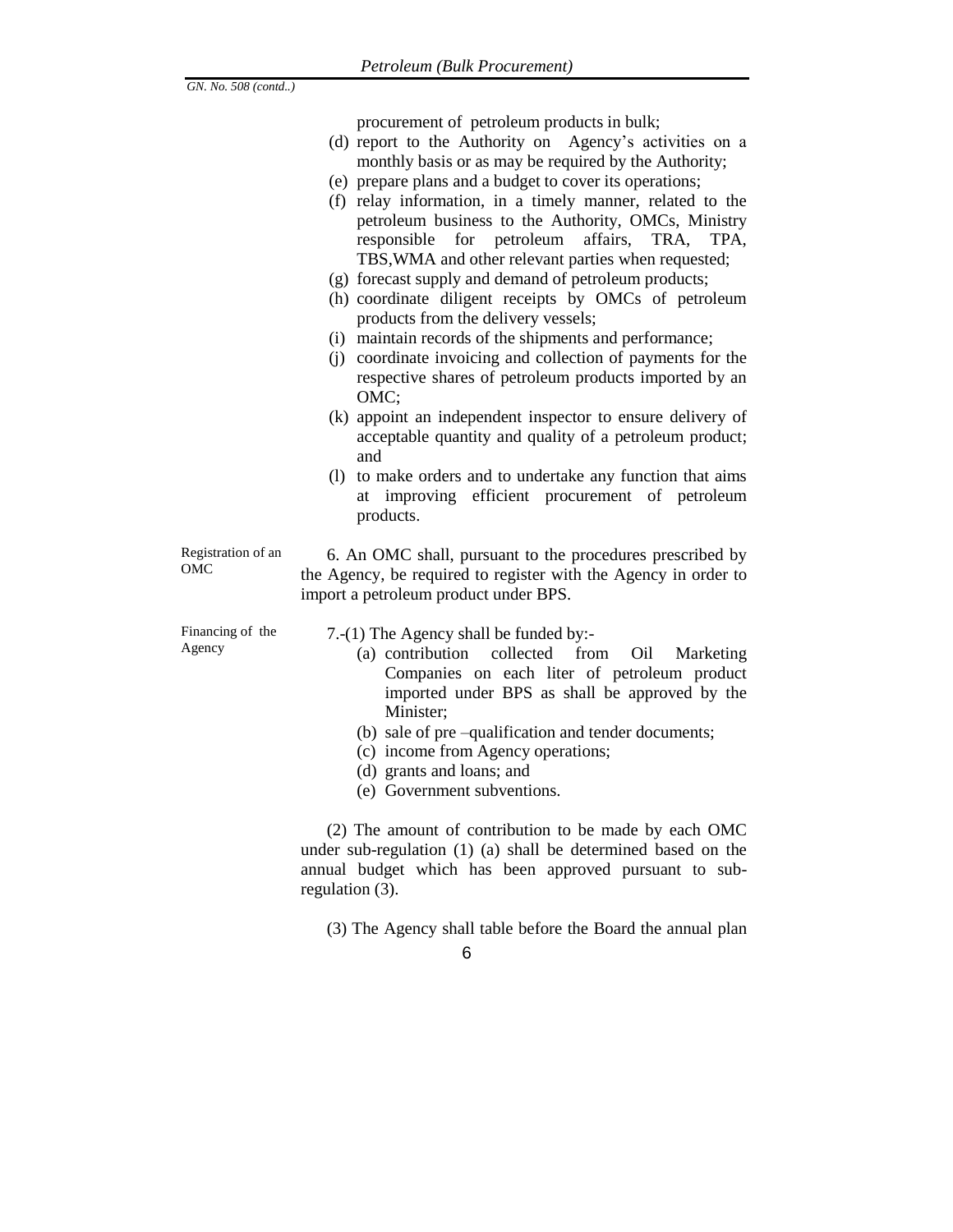procurement of petroleum products in bulk;

- (d) report to the Authority on Agency's activities on a monthly basis or as may be required by the Authority;
- (e) prepare plans and a budget to cover its operations;
- (f) relay information, in a timely manner, related to the petroleum business to the Authority, OMCs, Ministry responsible for petroleum affairs, TRA, TPA, TBS,WMA and other relevant parties when requested;
- (g) forecast supply and demand of petroleum products;
- (h) coordinate diligent receipts by OMCs of petroleum products from the delivery vessels;
- (i) maintain records of the shipments and performance;
- (j) coordinate invoicing and collection of payments for the respective shares of petroleum products imported by an OMC;
- (k) appoint an independent inspector to ensure delivery of acceptable quantity and quality of a petroleum product; and
- (l) to make orders and to undertake any function that aims at improving efficient procurement of petroleum products.

#### Registration of an OMC

6. An OMC shall, pursuant to the procedures prescribed by the Agency, be required to register with the Agency in order to import a petroleum product under BPS.

Financing of the Agency

7.-(1) The Agency shall be funded by:-

- (a) contribution collected from Oil Marketing Companies on each liter of petroleum product imported under BPS as shall be approved by the Minister;
- (b) sale of pre –qualification and tender documents;
- (c) income from Agency operations;
- (d) grants and loans; and
- (e) Government subventions.

(2) The amount of contribution to be made by each OMC under sub-regulation (1) (a) shall be determined based on the annual budget which has been approved pursuant to subregulation (3).

(3) The Agency shall table before the Board the annual plan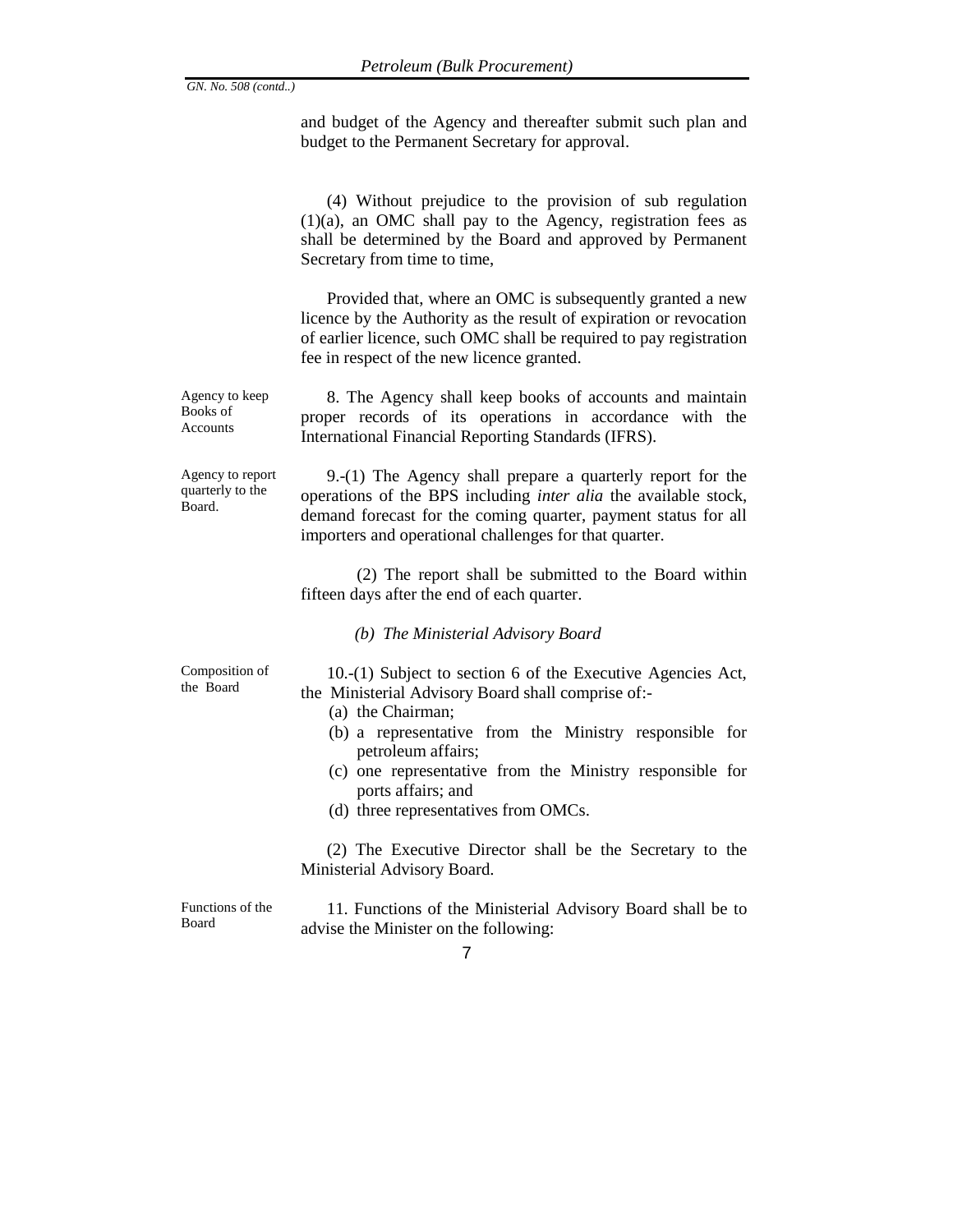and budget of the Agency and thereafter submit such plan and budget to the Permanent Secretary for approval.

(4) Without prejudice to the provision of sub regulation (1)(a), an OMC shall pay to the Agency, registration fees as shall be determined by the Board and approved by Permanent Secretary from time to time,

Provided that, where an OMC is subsequently granted a new licence by the Authority as the result of expiration or revocation of earlier licence, such OMC shall be required to pay registration fee in respect of the new licence granted.

Agency to keep Books of Accounts 8. The Agency shall keep books of accounts and maintain proper records of its operations in accordance with the International Financial Reporting Standards (IFRS).

Agency to report quarterly to the Board.

9.-(1) The Agency shall prepare a quarterly report for the operations of the BPS including *inter alia* the available stock, demand forecast for the coming quarter, payment status for all importers and operational challenges for that quarter.

(2) The report shall be submitted to the Board within fifteen days after the end of each quarter.

*(b) The Ministerial Advisory Board*

Composition of the Board

10.-(1) Subject to section 6 of the Executive Agencies Act, the Ministerial Advisory Board shall comprise of:-

- (a) the Chairman;
- (b) a representative from the Ministry responsible for petroleum affairs;
- (c) one representative from the Ministry responsible for ports affairs; and
- (d) three representatives from OMCs.

(2) The Executive Director shall be the Secretary to the Ministerial Advisory Board.

Functions of the Board

11. Functions of the Ministerial Advisory Board shall be to advise the Minister on the following: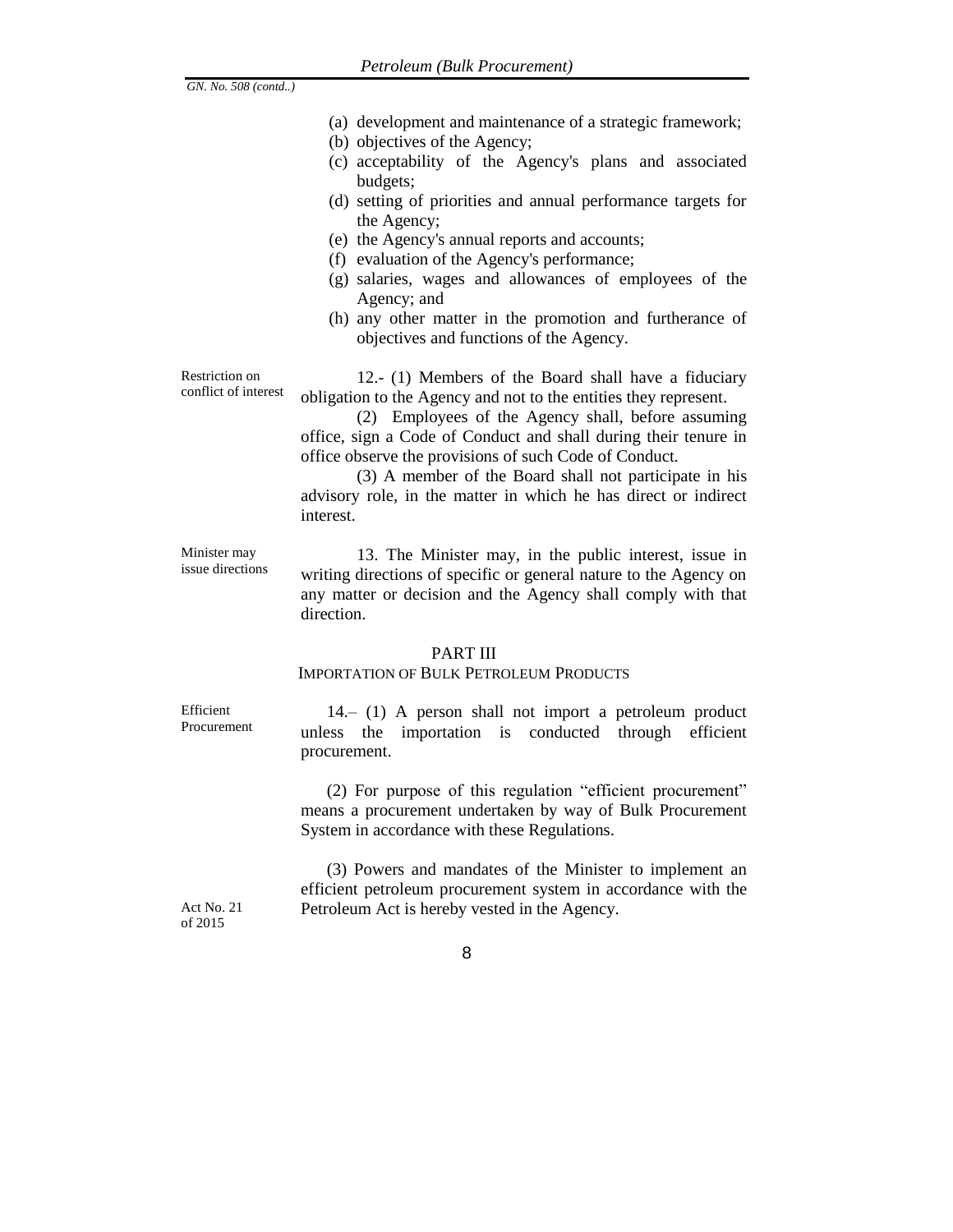(a) development and maintenance of a strategic framework; (b) objectives of the Agency; (c) acceptability of the Agency's plans and associated budgets; (d) setting of priorities and annual performance targets for the Agency; (e) the Agency's annual reports and accounts; (f) evaluation of the Agency's performance; (g) salaries, wages and allowances of employees of the Agency; and (h) any other matter in the promotion and furtherance of objectives and functions of the Agency. Restriction on conflict of interest 12.- (1) Members of the Board shall have a fiduciary obligation to the Agency and not to the entities they represent. (2) Employees of the Agency shall, before assuming office, sign a Code of Conduct and shall during their tenure in office observe the provisions of such Code of Conduct. (3) A member of the Board shall not participate in his advisory role, in the matter in which he has direct or indirect interest. Minister may issue directions 13. The Minister may, in the public interest, issue in writing directions of specific or general nature to the Agency on any matter or decision and the Agency shall comply with that direction.

### PART III

#### IMPORTATION OF BULK PETROLEUM PRODUCTS

Efficient Procurement

*GN. No. 508 (contd..)*

14.– (1) A person shall not import a petroleum product unless the importation is conducted through efficient procurement.

(2) For purpose of this regulation "efficient procurement" means a procurement undertaken by way of Bulk Procurement System in accordance with these Regulations.

(3) Powers and mandates of the Minister to implement an efficient petroleum procurement system in accordance with the Petroleum Act is hereby vested in the Agency.

Act No. 21 of 2015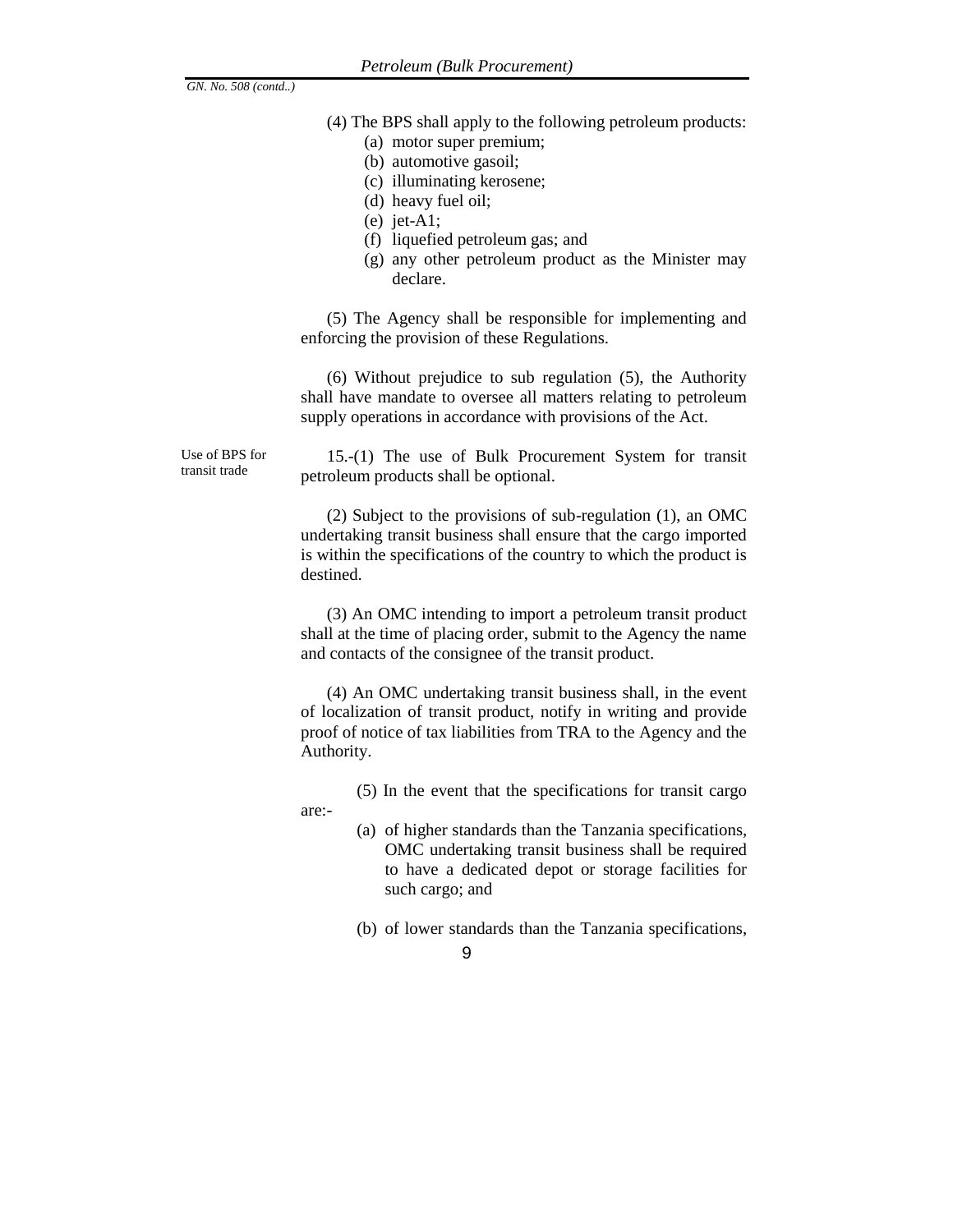- (4) The BPS shall apply to the following petroleum products:
	- (a) motor super premium;
	- (b) automotive gasoil;
	- (c) illuminating kerosene;
	- (d) heavy fuel oil;
	- (e) jet-A1;
	- (f) liquefied petroleum gas; and
	- (g) any other petroleum product as the Minister may declare.

(5) The Agency shall be responsible for implementing and enforcing the provision of these Regulations.

(6) Without prejudice to sub regulation (5), the Authority shall have mandate to oversee all matters relating to petroleum supply operations in accordance with provisions of the Act.

Use of BPS for transit trade

are:-

15.-(1) The use of Bulk Procurement System for transit petroleum products shall be optional.

(2) Subject to the provisions of sub-regulation (1), an OMC undertaking transit business shall ensure that the cargo imported is within the specifications of the country to which the product is destined.

(3) An OMC intending to import a petroleum transit product shall at the time of placing order, submit to the Agency the name and contacts of the consignee of the transit product.

(4) An OMC undertaking transit business shall, in the event of localization of transit product, notify in writing and provide proof of notice of tax liabilities from TRA to the Agency and the Authority.

(5) In the event that the specifications for transit cargo

- (a) of higher standards than the Tanzania specifications, OMC undertaking transit business shall be required to have a dedicated depot or storage facilities for such cargo; and
- (b) of lower standards than the Tanzania specifications,
	- 9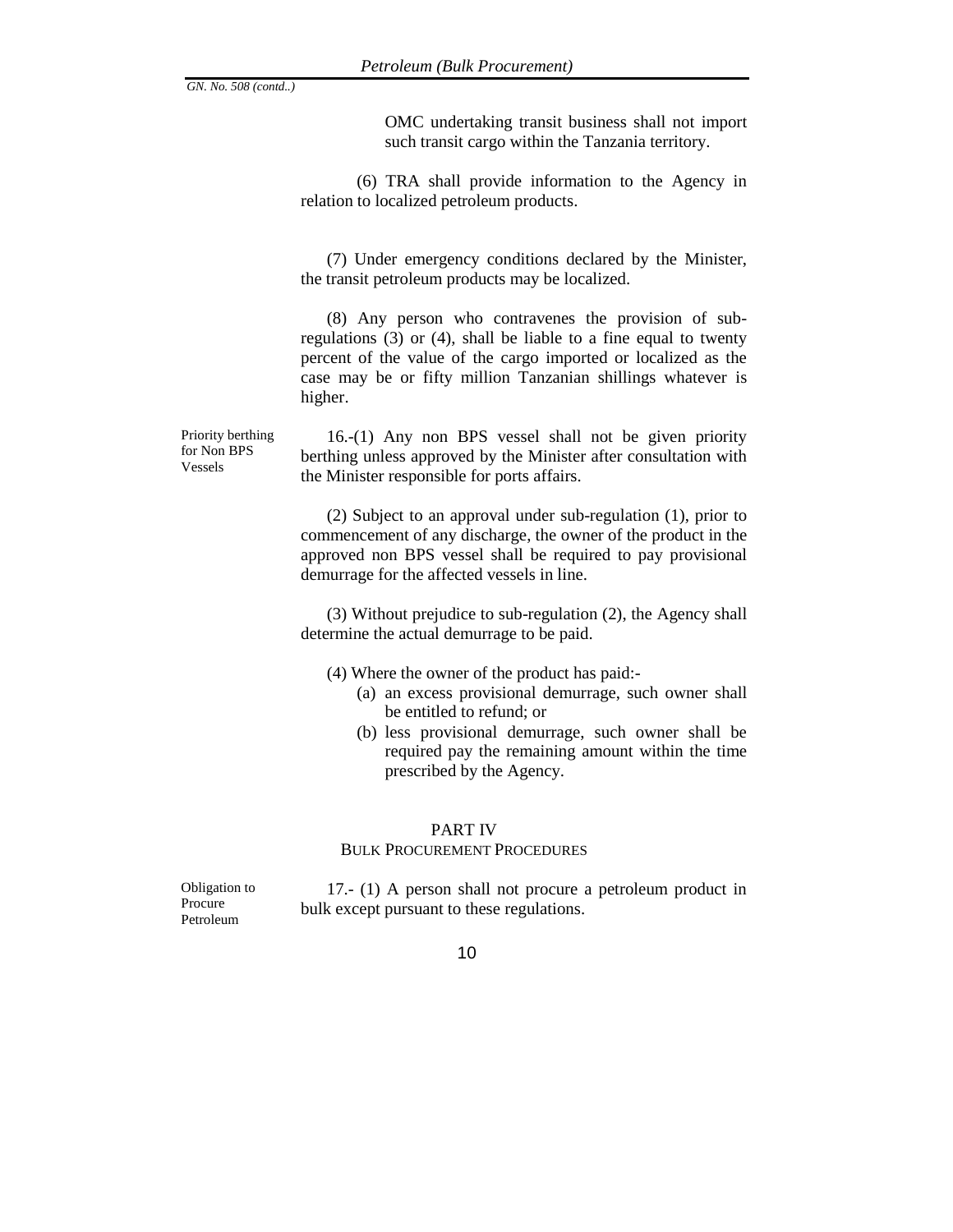OMC undertaking transit business shall not import such transit cargo within the Tanzania territory.

(6) TRA shall provide information to the Agency in relation to localized petroleum products.

(7) Under emergency conditions declared by the Minister, the transit petroleum products may be localized.

(8) Any person who contravenes the provision of subregulations (3) or (4), shall be liable to a fine equal to twenty percent of the value of the cargo imported or localized as the case may be or fifty million Tanzanian shillings whatever is higher.

16.-(1) Any non BPS vessel shall not be given priority berthing unless approved by the Minister after consultation with the Minister responsible for ports affairs.

(2) Subject to an approval under sub-regulation (1), prior to commencement of any discharge, the owner of the product in the approved non BPS vessel shall be required to pay provisional demurrage for the affected vessels in line.

(3) Without prejudice to sub-regulation (2), the Agency shall determine the actual demurrage to be paid.

(4) Where the owner of the product has paid:-

- (a) an excess provisional demurrage, such owner shall be entitled to refund; or
- (b) less provisional demurrage, such owner shall be required pay the remaining amount within the time prescribed by the Agency.

#### PART IV

#### BULK PROCUREMENT PROCEDURES

Obligation to Procure Petroleum

17.- (1) A person shall not procure a petroleum product in bulk except pursuant to these regulations.

10

Priority berthing for Non BPS Vessels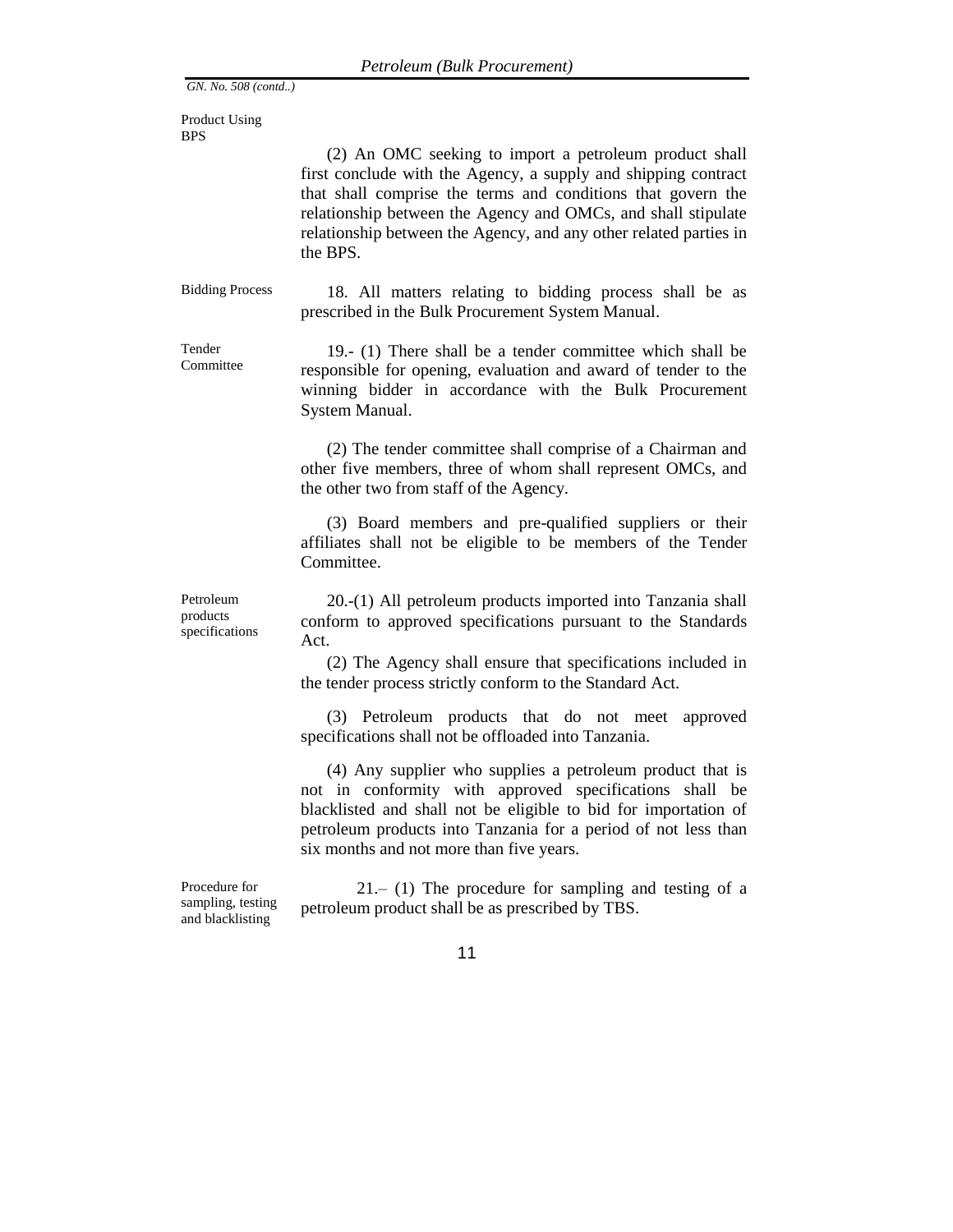Product Using BPS

> (2) An OMC seeking to import a petroleum product shall first conclude with the Agency, a supply and shipping contract that shall comprise the terms and conditions that govern the relationship between the Agency and OMCs, and shall stipulate relationship between the Agency, and any other related parties in the BPS.

Bidding Process 18. All matters relating to bidding process shall be as prescribed in the Bulk Procurement System Manual.

Tender Committee 19.- (1) There shall be a tender committee which shall be responsible for opening, evaluation and award of tender to the winning bidder in accordance with the Bulk Procurement System Manual.

> (2) The tender committee shall comprise of a Chairman and other five members, three of whom shall represent OMCs, and the other two from staff of the Agency.

> (3) Board members and pre-qualified suppliers or their affiliates shall not be eligible to be members of the Tender Committee.

Petroleum products specifications

20.-(1) All petroleum products imported into Tanzania shall conform to approved specifications pursuant to the Standards Act.

(2) The Agency shall ensure that specifications included in the tender process strictly conform to the Standard Act.

(3) Petroleum products that do not meet approved specifications shall not be offloaded into Tanzania.

(4) Any supplier who supplies a petroleum product that is not in conformity with approved specifications shall be blacklisted and shall not be eligible to bid for importation of petroleum products into Tanzania for a period of not less than six months and not more than five years.

Procedure for sampling, testing and blacklisting

21.– (1) The procedure for sampling and testing of a petroleum product shall be as prescribed by TBS.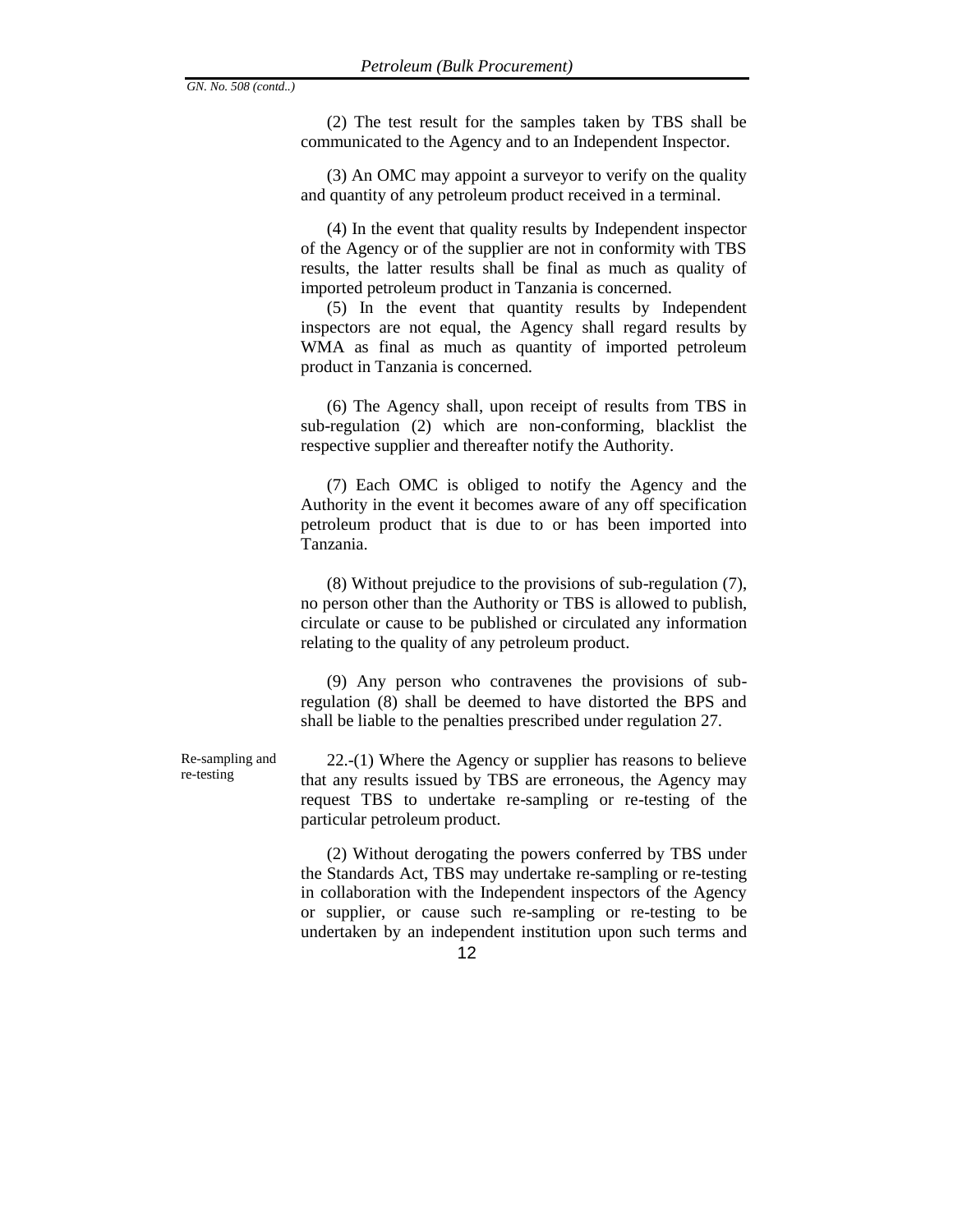(2) The test result for the samples taken by TBS shall be communicated to the Agency and to an Independent Inspector.

(3) An OMC may appoint a surveyor to verify on the quality and quantity of any petroleum product received in a terminal.

(4) In the event that quality results by Independent inspector of the Agency or of the supplier are not in conformity with TBS results, the latter results shall be final as much as quality of imported petroleum product in Tanzania is concerned.

(5) In the event that quantity results by Independent inspectors are not equal, the Agency shall regard results by WMA as final as much as quantity of imported petroleum product in Tanzania is concerned.

(6) The Agency shall, upon receipt of results from TBS in sub-regulation (2) which are non-conforming, blacklist the respective supplier and thereafter notify the Authority.

(7) Each OMC is obliged to notify the Agency and the Authority in the event it becomes aware of any off specification petroleum product that is due to or has been imported into Tanzania.

(8) Without prejudice to the provisions of sub-regulation (7), no person other than the Authority or TBS is allowed to publish, circulate or cause to be published or circulated any information relating to the quality of any petroleum product.

(9) Any person who contravenes the provisions of subregulation (8) shall be deemed to have distorted the BPS and shall be liable to the penalties prescribed under regulation 27.

Re-sampling and re-testing

22.-(1) Where the Agency or supplier has reasons to believe that any results issued by TBS are erroneous, the Agency may request TBS to undertake re-sampling or re-testing of the particular petroleum product.

(2) Without derogating the powers conferred by TBS under the Standards Act, TBS may undertake re-sampling or re-testing in collaboration with the Independent inspectors of the Agency or supplier, or cause such re-sampling or re-testing to be undertaken by an independent institution upon such terms and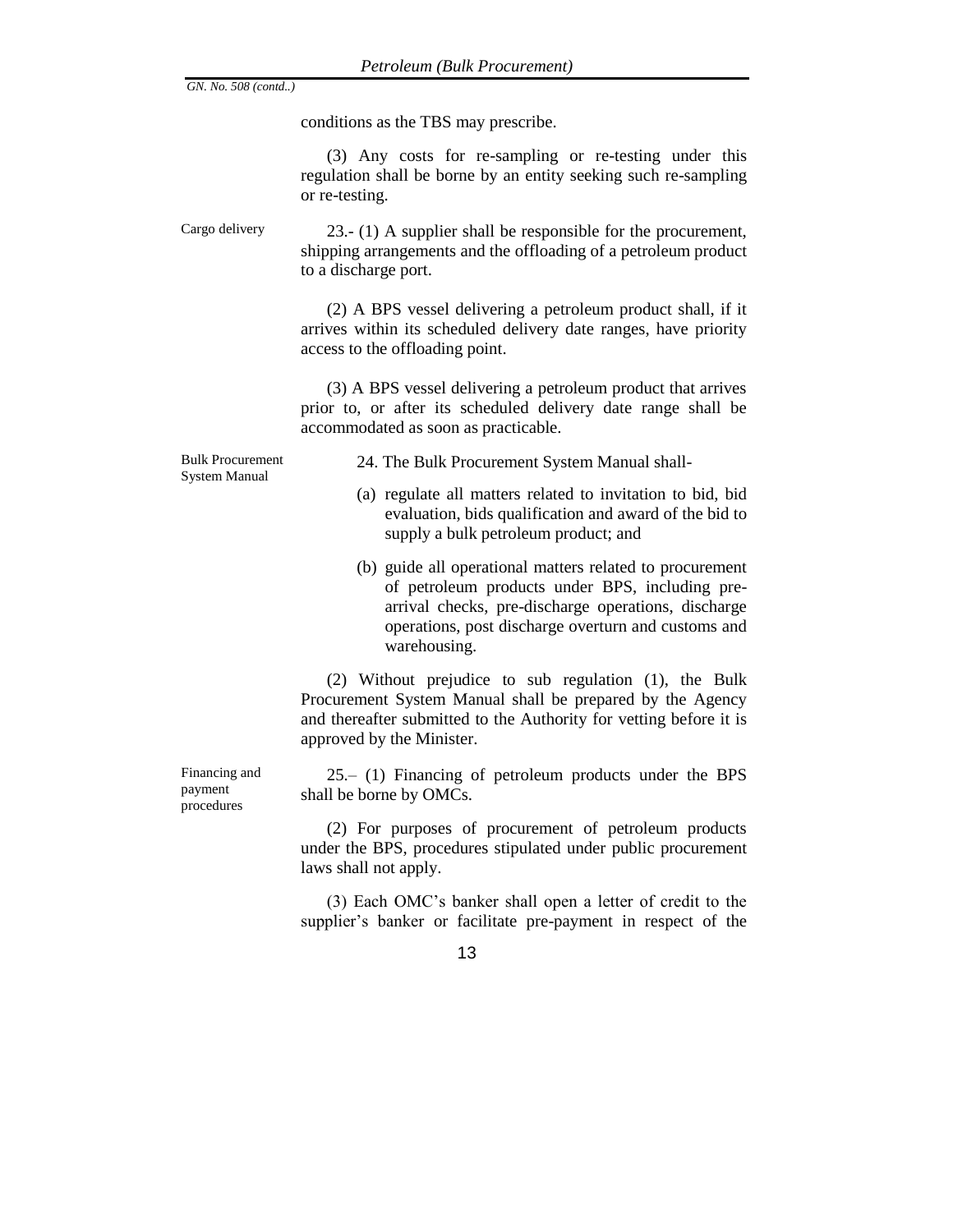conditions as the TBS may prescribe.

(3) Any costs for re-sampling or re-testing under this regulation shall be borne by an entity seeking such re-sampling or re-testing.

Cargo delivery 23.- (1) A supplier shall be responsible for the procurement, shipping arrangements and the offloading of a petroleum product to a discharge port.

> (2) A BPS vessel delivering a petroleum product shall, if it arrives within its scheduled delivery date ranges, have priority access to the offloading point.

> (3) A BPS vessel delivering a petroleum product that arrives prior to, or after its scheduled delivery date range shall be accommodated as soon as practicable.

Bulk Procurement System Manual

24. The Bulk Procurement System Manual shall-

- (a) regulate all matters related to invitation to bid, bid evaluation, bids qualification and award of the bid to supply a bulk petroleum product; and
- (b) guide all operational matters related to procurement of petroleum products under BPS, including prearrival checks, pre-discharge operations, discharge operations, post discharge overturn and customs and warehousing.

(2) Without prejudice to sub regulation (1), the Bulk Procurement System Manual shall be prepared by the Agency and thereafter submitted to the Authority for vetting before it is approved by the Minister.

25.– (1) Financing of petroleum products under the BPS shall be borne by OMCs.

(2) For purposes of procurement of petroleum products under the BPS, procedures stipulated under public procurement laws shall not apply.

(3) Each OMC's banker shall open a letter of credit to the supplier's banker or facilitate pre-payment in respect of the

13

Financing and payment procedures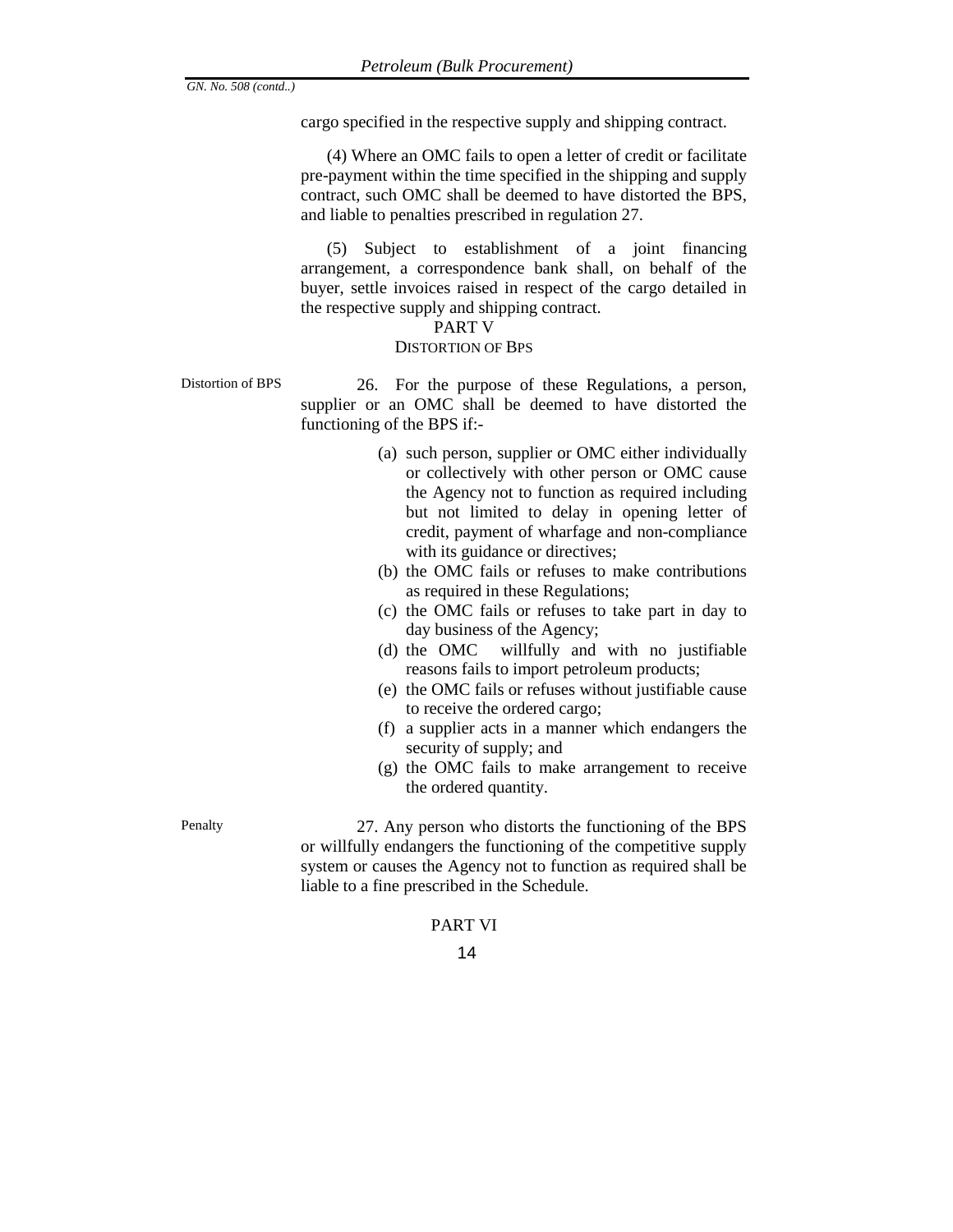cargo specified in the respective supply and shipping contract.

(4) Where an OMC fails to open a letter of credit or facilitate pre-payment within the time specified in the shipping and supply contract, such OMC shall be deemed to have distorted the BPS, and liable to penalties prescribed in regulation 27.

(5) Subject to establishment of a joint financing arrangement, a correspondence bank shall, on behalf of the buyer, settle invoices raised in respect of the cargo detailed in the respective supply and shipping contract.

#### PART V

### DISTORTION OF BPS

Distortion of BPS 26. For the purpose of these Regulations, a person, supplier or an OMC shall be deemed to have distorted the functioning of the BPS if:-

- (a) such person, supplier or OMC either individually or collectively with other person or OMC cause the Agency not to function as required including but not limited to delay in opening letter of credit, payment of wharfage and non-compliance with its guidance or directives;
- (b) the OMC fails or refuses to make contributions as required in these Regulations;
- (c) the OMC fails or refuses to take part in day to day business of the Agency;
- (d) the OMC willfully and with no justifiable reasons fails to import petroleum products;
- (e) the OMC fails or refuses without justifiable cause to receive the ordered cargo;
- (f) a supplier acts in a manner which endangers the security of supply; and
- (g) the OMC fails to make arrangement to receive the ordered quantity.

Penalty 27. Any person who distorts the functioning of the BPS or willfully endangers the functioning of the competitive supply system or causes the Agency not to function as required shall be liable to a fine prescribed in the Schedule.

## PART VI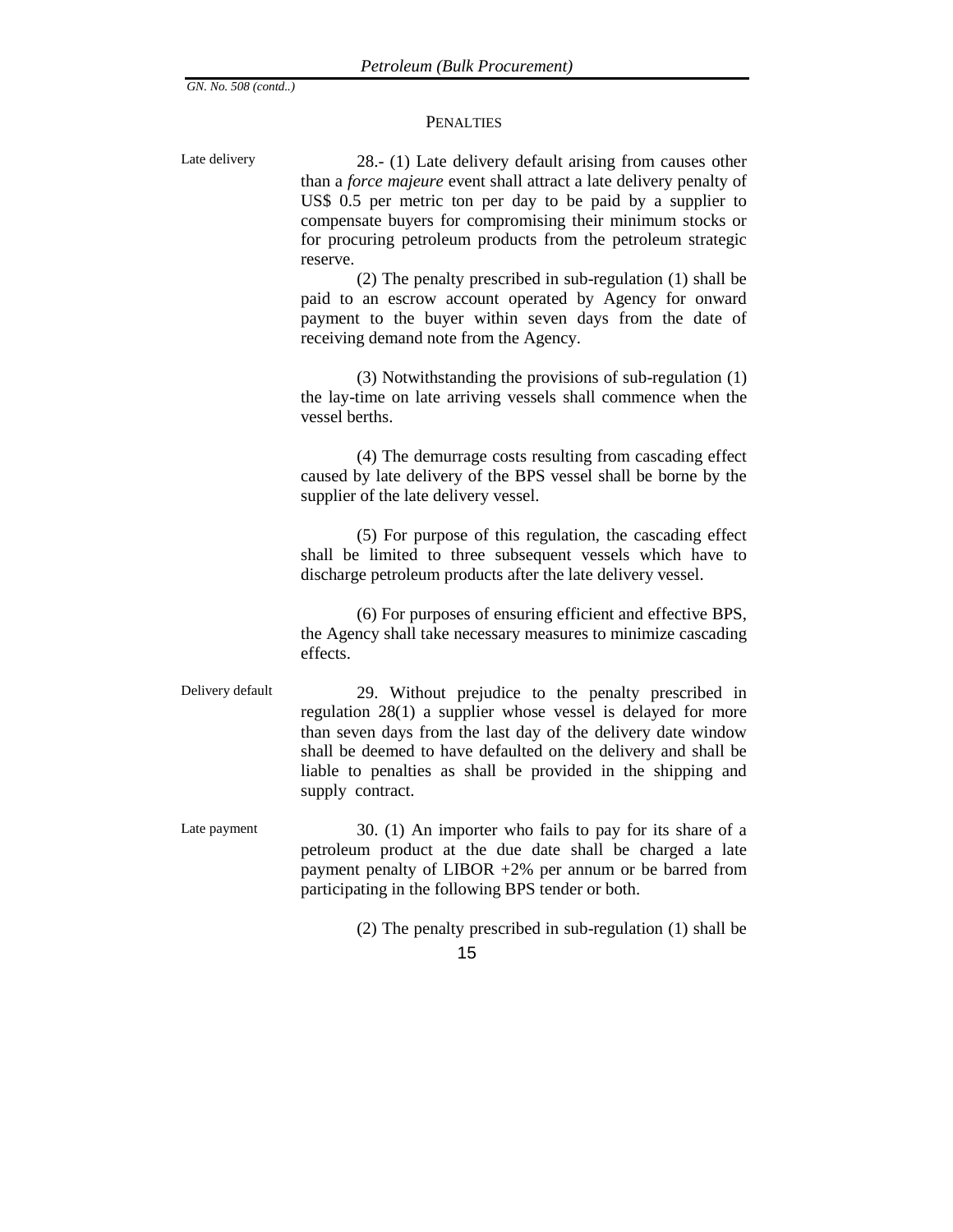#### **PENALTIES**

15 Late delivery 28.- (1) Late delivery default arising from causes other than a *force majeure* event shall attract a late delivery penalty of US\$ 0.5 per metric ton per day to be paid by a supplier to compensate buyers for compromising their minimum stocks or for procuring petroleum products from the petroleum strategic reserve. (2) The penalty prescribed in sub-regulation (1) shall be paid to an escrow account operated by Agency for onward payment to the buyer within seven days from the date of receiving demand note from the Agency. (3) Notwithstanding the provisions of sub-regulation (1) the lay-time on late arriving vessels shall commence when the vessel berths. (4) The demurrage costs resulting from cascading effect caused by late delivery of the BPS vessel shall be borne by the supplier of the late delivery vessel. (5) For purpose of this regulation, the cascading effect shall be limited to three subsequent vessels which have to discharge petroleum products after the late delivery vessel. (6) For purposes of ensuring efficient and effective BPS, the Agency shall take necessary measures to minimize cascading effects. Delivery default 29. Without prejudice to the penalty prescribed in regulation 28(1) a supplier whose vessel is delayed for more than seven days from the last day of the delivery date window shall be deemed to have defaulted on the delivery and shall be liable to penalties as shall be provided in the shipping and supply contract. Late payment 30. (1) An importer who fails to pay for its share of a petroleum product at the due date shall be charged a late payment penalty of LIBOR +2% per annum or be barred from participating in the following BPS tender or both. (2) The penalty prescribed in sub-regulation (1) shall be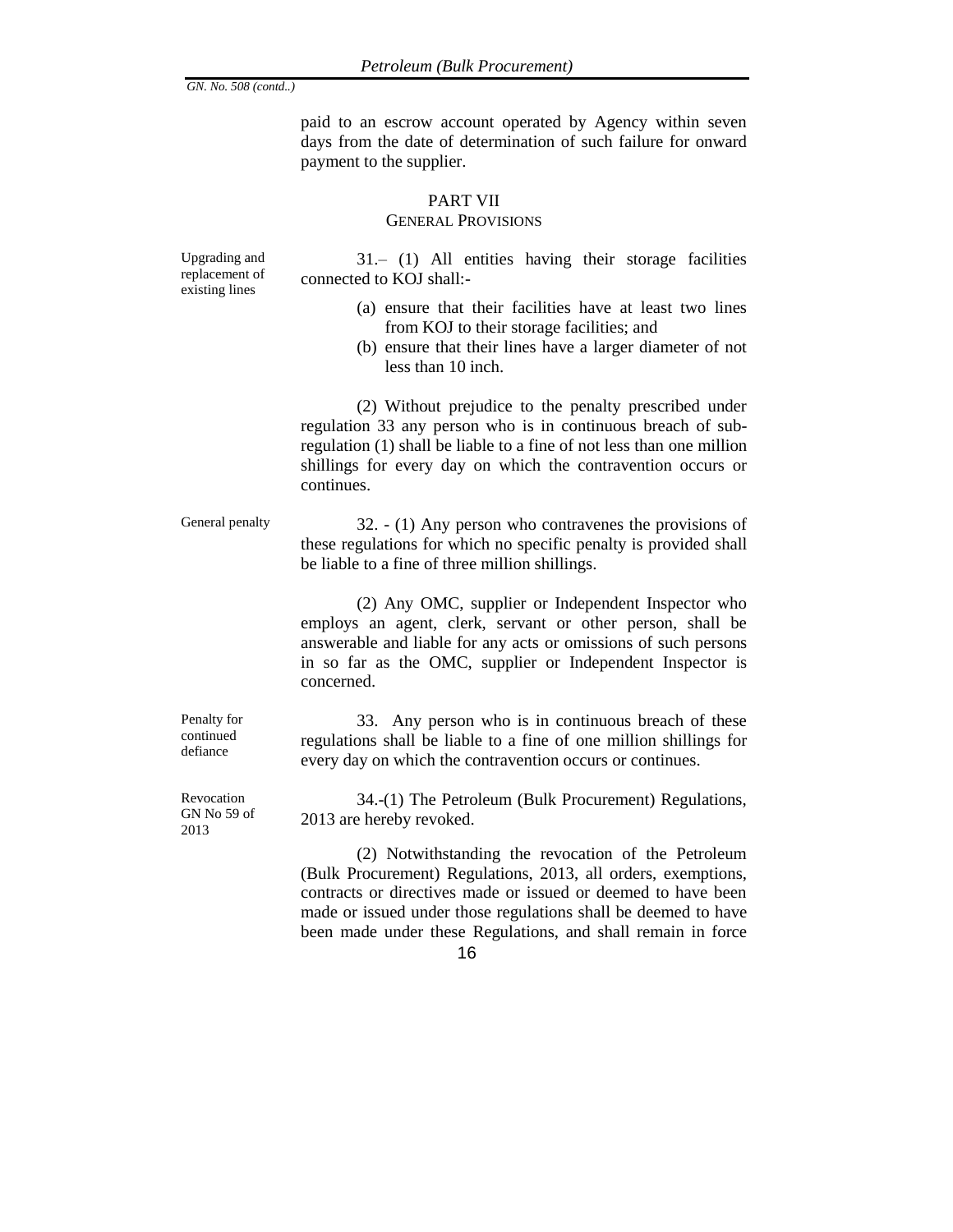paid to an escrow account operated by Agency within seven days from the date of determination of such failure for onward payment to the supplier.

# PART VII

# GENERAL PROVISIONS

Upgrading and replacement of existing lines

31.– (1) All entities having their storage facilities connected to KOJ shall:-

- (a) ensure that their facilities have at least two lines from KOJ to their storage facilities; and
- (b) ensure that their lines have a larger diameter of not less than 10 inch.

(2) Without prejudice to the penalty prescribed under regulation 33 any person who is in continuous breach of subregulation (1) shall be liable to a fine of not less than one million shillings for every day on which the contravention occurs or continues.

General penalty 32. - (1) Any person who contravenes the provisions of these regulations for which no specific penalty is provided shall be liable to a fine of three million shillings.

> (2) Any OMC, supplier or Independent Inspector who employs an agent, clerk, servant or other person, shall be answerable and liable for any acts or omissions of such persons in so far as the OMC, supplier or Independent Inspector is concerned.

> 33. Any person who is in continuous breach of these regulations shall be liable to a fine of one million shillings for every day on which the contravention occurs or continues.

> 34.-(1) The Petroleum (Bulk Procurement) Regulations, 2013 are hereby revoked.

> (2) Notwithstanding the revocation of the Petroleum (Bulk Procurement) Regulations, 2013, all orders, exemptions, contracts or directives made or issued or deemed to have been made or issued under those regulations shall be deemed to have been made under these Regulations, and shall remain in force

Penalty for continued defiance

Revocation GN No 59 of 2013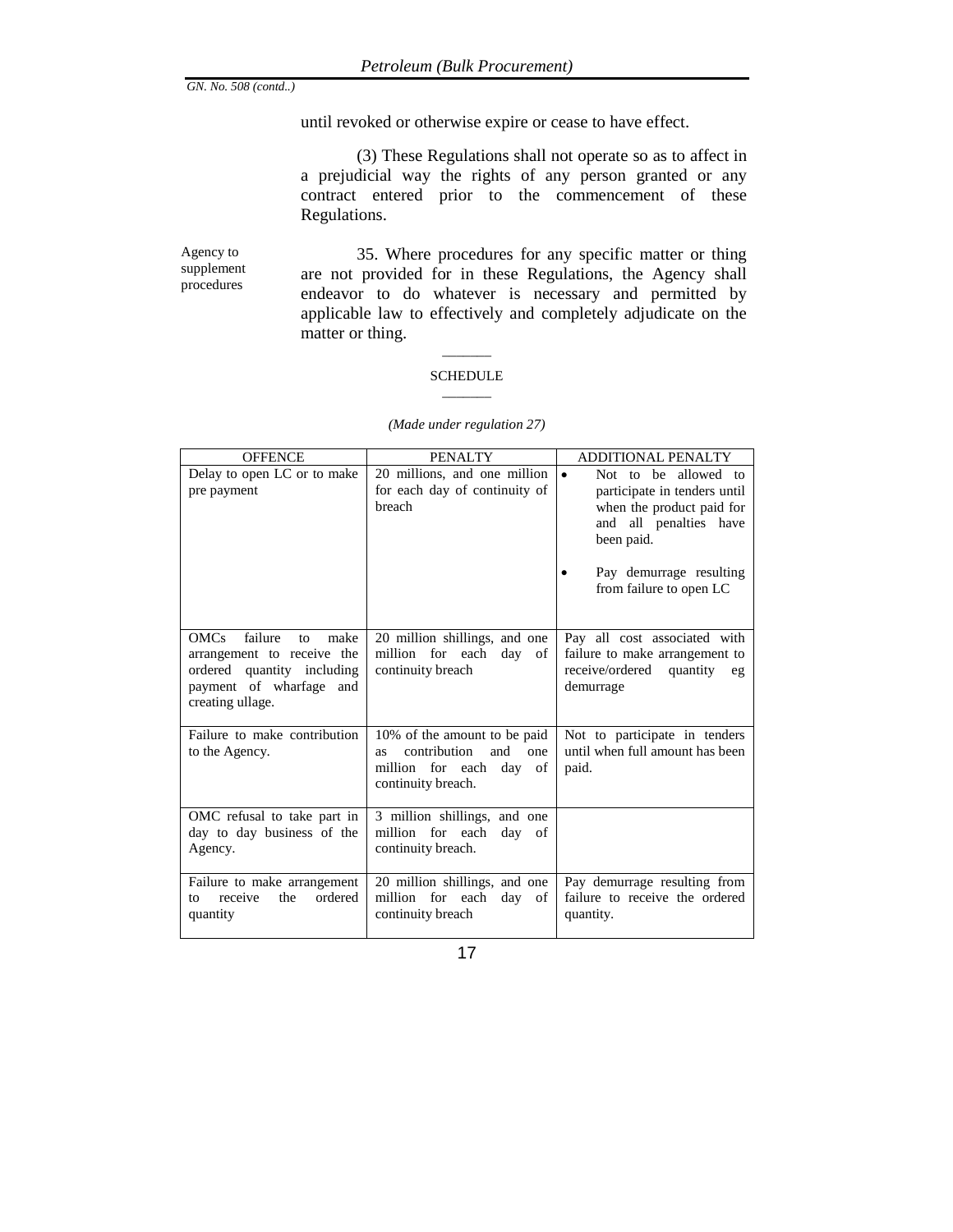until revoked or otherwise expire or cease to have effect.

(3) These Regulations shall not operate so as to affect in a prejudicial way the rights of any person granted or any contract entered prior to the commencement of these Regulations.

Agency to supplement procedures

35. Where procedures for any specific matter or thing are not provided for in these Regulations, the Agency shall endeavor to do whatever is necessary and permitted by applicable law to effectively and completely adjudicate on the matter or thing.

## $\overline{\phantom{a}}$ SCHEDULE  $\overline{\phantom{a}}$

| <b>OFFENCE</b>                                                                                                                                     | <b>PENALTY</b>                                                                                                              | <b>ADDITIONAL PENALTY</b>                                                                                                                                                                    |
|----------------------------------------------------------------------------------------------------------------------------------------------------|-----------------------------------------------------------------------------------------------------------------------------|----------------------------------------------------------------------------------------------------------------------------------------------------------------------------------------------|
| Delay to open LC or to make<br>pre payment                                                                                                         | 20 millions, and one million<br>for each day of continuity of<br>breach                                                     | Not to be allowed to<br>$\bullet$<br>participate in tenders until<br>when the product paid for<br>and all penalties have<br>been paid.<br>Pay demurrage resulting<br>from failure to open LC |
| failure<br><b>OMCs</b><br>make<br>to<br>arrangement to receive the<br>ordered quantity including<br>payment of wharfage<br>and<br>creating ullage. | 20 million shillings, and one<br>million for each<br>day<br>of<br>continuity breach                                         | Pay all cost associated with<br>failure to make arrangement to<br>receive/ordered<br>quantity<br>eg<br>demurrage                                                                             |
| Failure to make contribution<br>to the Agency.                                                                                                     | 10% of the amount to be paid<br>contribution<br>and<br>one<br><b>as</b><br>million for each day<br>of<br>continuity breach. | Not to participate in tenders<br>until when full amount has been<br>paid.                                                                                                                    |
| OMC refusal to take part in<br>day to day business of the<br>Agency.                                                                               | 3 million shillings, and one<br>million for each<br>day of<br>continuity breach.                                            |                                                                                                                                                                                              |
| Failure to make arrangement<br>ordered<br>receive<br>the<br>to<br>quantity                                                                         | 20 million shillings, and one<br>million for each<br>day<br>of<br>continuity breach                                         | Pay demurrage resulting from<br>failure to receive the ordered<br>quantity.                                                                                                                  |

#### *(Made under regulation 27)*